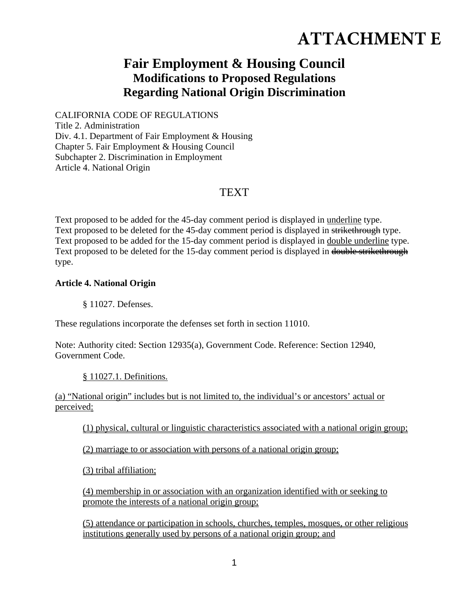## **ATTACHMENT E**

## **Fair Employment & Housing Council Modifications to Proposed Regulations Regarding National Origin Discrimination**

CALIFORNIA CODE OF REGULATIONS Title 2. Administration Div. 4.1. Department of Fair Employment & Housing Chapter 5. Fair Employment & Housing Council Subchapter 2. Discrimination in Employment Article 4. National Origin

## TEXT

Text proposed to be added for the 45-day comment period is displayed in underline type. Text proposed to be deleted for the 45-day comment period is displayed in strikethrough type. Text proposed to be added for the 15-day comment period is displayed in double underline type. Text proposed to be deleted for the 15-day comment period is displayed in double strikethrough type.

## **Article 4. National Origin**

§ 11027. Defenses.

These regulations incorporate the defenses set forth in section 11010.

Note: Authority cited: Section 12935(a), Government Code. Reference: Section 12940, Government Code.

§ 11027.1. Definitions.

(a) "National origin" includes but is not limited to, the individual's or ancestors' actual or perceived:

(1) physical, cultural or linguistic characteristics associated with a national origin group;

(2) marriage to or association with persons of a national origin group;

(3) tribal affiliation;

(4) membership in or association with an organization identified with or seeking to promote the interests of a national origin group;

(5) attendance or participation in schools, churches, temples, mosques, or other religious institutions generally used by persons of a national origin group; and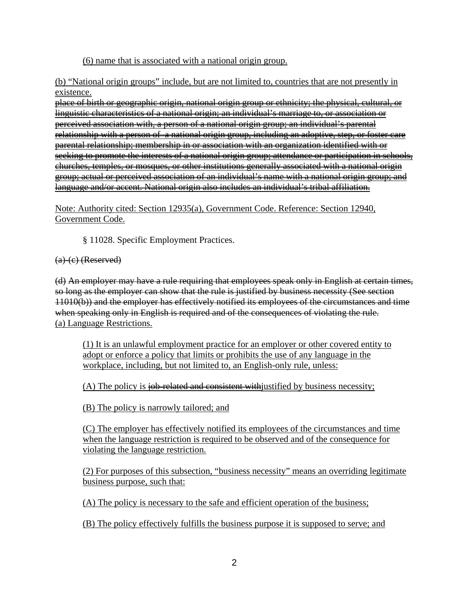(6) name that is associated with a national origin group.

(b) "National origin groups" include, but are not limited to, countries that are not presently in existence.

place of birth or geographic origin, national origin group or ethnicity; the physical, cultural, or linguistic characteristics of a national origin; an individual's marriage to, or association or perceived association with, a person of a national origin group; an individual's parental relationship with a person of a national origin group, including an adoptive, step, or foster care parental relationship; membership in or association with an organization identified with or seeking to promote the interests of a national origin group; attendance or participation in schools, churches, temples, or mosques, or other institutions generally associated with a national origin group; actual or perceived association of an individual's name with a national origin group; and language and/or accent. National origin also includes an individual's tribal affiliation.

Note: Authority cited: Section 12935(a), Government Code. Reference: Section 12940, Government Code.

§ 11028. Specific Employment Practices.

 $(a)-(c)$  (Reserved)

(d) An employer may have a rule requiring that employees speak only in English at certain times, so long as the employer can show that the rule is justified by business necessity (See section 11010(b)) and the employer has effectively notified its employees of the circumstances and time when speaking only in English is required and of the consequences of violating the rule. (a) Language Restrictions.

(1) It is an unlawful employment practice for an employer or other covered entity to adopt or enforce a policy that limits or prohibits the use of any language in the workplace, including, but not limited to, an English-only rule, unless:

(A) The policy is job-related and consistent with justified by business necessity;

(B) The policy is narrowly tailored; and

(C) The employer has effectively notified its employees of the circumstances and time when the language restriction is required to be observed and of the consequence for violating the language restriction.

(2) For purposes of this subsection, "business necessity" means an overriding legitimate business purpose, such that:

(A) The policy is necessary to the safe and efficient operation of the business;

(B) The policy effectively fulfills the business purpose it is supposed to serve; and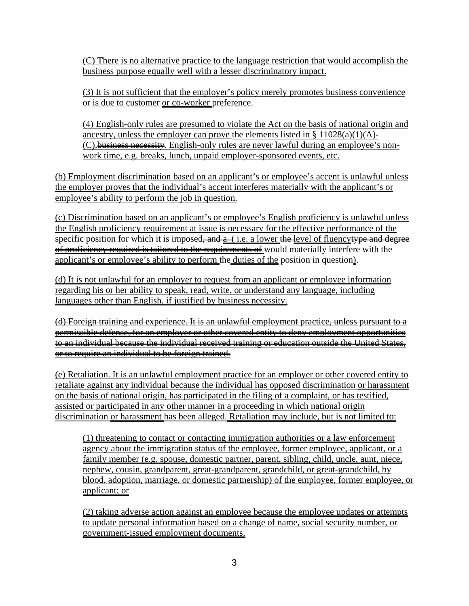(C) There is no alternative practice to the language restriction that would accomplish the business purpose equally well with a lesser discriminatory impact.

(3) It is not sufficient that the employer's policy merely promotes business convenience or is due to customer or co-worker preference.

(4) English-only rules are presumed to violate the Act on the basis of national origin and ancestry, unless the employer can prove the elements listed in  $\S 11028(a)(1)(A)$ -(C). business necessity. English-only rules are never lawful during an employee's nonwork time, e.g. breaks, lunch, unpaid employer-sponsored events, etc.

(b) Employment discrimination based on an applicant's or employee's accent is unlawful unless the employer proves that the individual's accent interferes materially with the applicant's or employee's ability to perform the job in question.

(c) Discrimination based on an applicant's or employee's English proficiency is unlawful unless the English proficiency requirement at issue is necessary for the effective performance of the specific position for which it is imposed, and  $a$  (i.e. a lower the level of fluencyty pe and degree of proficiency required is tailored to the requirements of would materially interfere with the applicant's or employee's ability to perform the duties of the position in question).

(d) It is not unlawful for an employer to request from an applicant or employee information regarding his or her ability to speak, read, write, or understand any language, including languages other than English, if justified by business necessity.

(d) Foreign training and experience. It is an unlawful employment practice, unless pursuant to a permissible defense, for an employer or other covered entity to deny employment opportunities to an individual because the individual received training or education outside the United States, or to require an individual to be foreign trained.

(e) Retaliation. It is an unlawful employment practice for an employer or other covered entity to retaliate against any individual because the individual has opposed discrimination or harassment on the basis of national origin, has participated in the filing of a complaint, or has testified, assisted or participated in any other manner in a proceeding in which national origin discrimination or harassment has been alleged. Retaliation may include, but is not limited to:

(1) threatening to contact or contacting immigration authorities or a law enforcement agency about the immigration status of the employee, former employee, applicant, or a family member (e.g. spouse, domestic partner, parent, sibling, child, uncle, aunt, niece, nephew, cousin, grandparent, great-grandparent, grandchild, or great-grandchild, by blood, adoption, marriage, or domestic partnership) of the employee, former employee, or applicant; or

(2) taking adverse action against an employee because the employee updates or attempts to update personal information based on a change of name, social security number, or government-issued employment documents.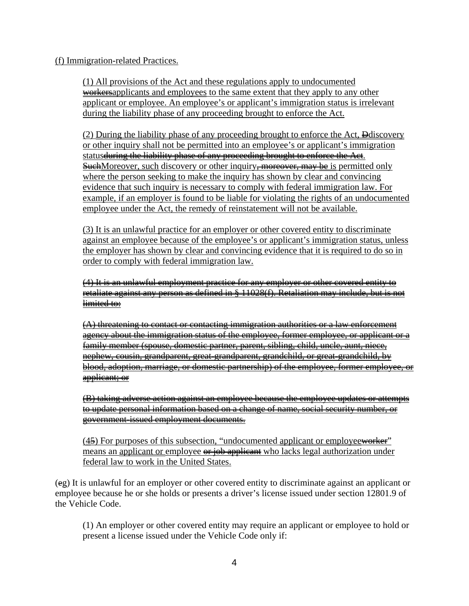(f) Immigration-related Practices.

(1) All provisions of the Act and these regulations apply to undocumented workersapplicants and employees to the same extent that they apply to any other applicant or employee. An employee's or applicant's immigration status is irrelevant during the liability phase of any proceeding brought to enforce the Act.

(2) During the liability phase of any proceeding brought to enforce the Act, Ddiscovery or other inquiry shall not be permitted into an employee's or applicant's immigration status <del>during the liability phase of any proceeding brought to enforce the Act</del>. **SuchMoreover, such discovery or other inquiry<del>, moreover, may be</del> is permitted only** where the person seeking to make the inquiry has shown by clear and convincing evidence that such inquiry is necessary to comply with federal immigration law. For example, if an employer is found to be liable for violating the rights of an undocumented employee under the Act, the remedy of reinstatement will not be available.

(3) It is an unlawful practice for an employer or other covered entity to discriminate against an employee because of the employee's or applicant's immigration status, unless the employer has shown by clear and convincing evidence that it is required to do so in order to comply with federal immigration law.

(4) It is an unlawful employment practice for any employer or other covered entity to retaliate against any person as defined in § 11028(f). Retaliation may include, but is not limited to:

(A) threatening to contact or contacting immigration authorities or a law enforcement agency about the immigration status of the employee, former employee, or applicant or a family member (spouse, domestic partner, parent, sibling, child, uncle, aunt, niece, nephew, cousin, grandparent, great-grandparent, grandchild, or great-grandchild, by blood, adoption, marriage, or domestic partnership) of the employee, former employee, or applicant; or

(B) taking adverse action against an employee because the employee updates or attempts to update personal information based on a change of name, social security number, or government-issued employment documents.

 $(4\frac{5}{2})$  For purposes of this subsection, "undocumented applicant or employeeworker" means an applicant or employee  $\theta$  is integral and report and a position under federal law to work in the United States.

(eg) It is unlawful for an employer or other covered entity to discriminate against an applicant or employee because he or she holds or presents a driver's license issued under section 12801.9 of the Vehicle Code.

(1) An employer or other covered entity may require an applicant or employee to hold or present a license issued under the Vehicle Code only if: